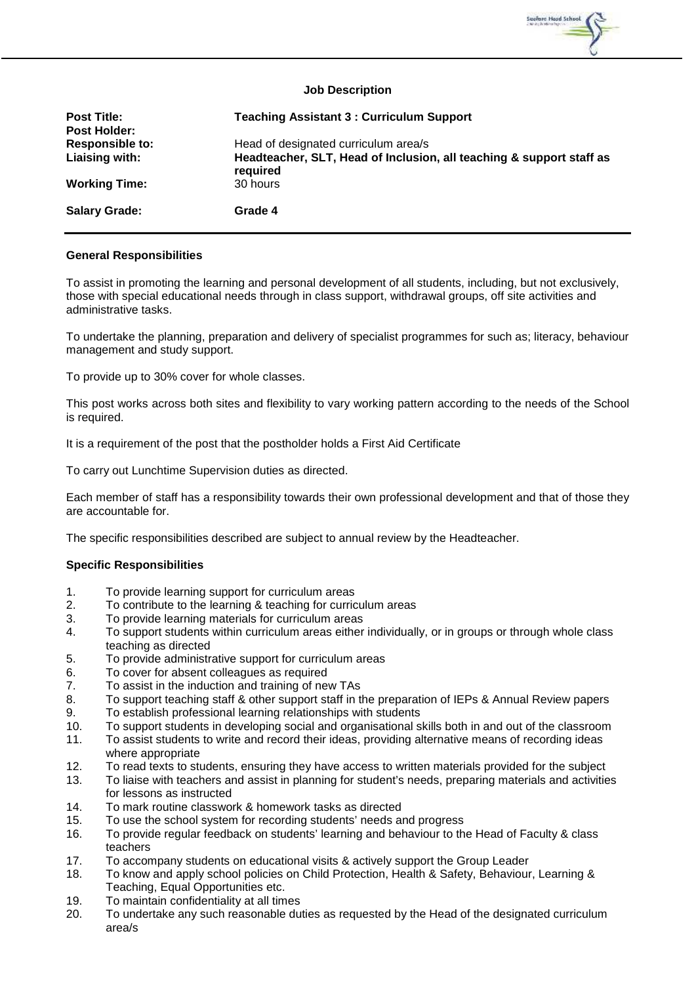

## **Job Description**

| <b>Post Title:</b><br><b>Post Holder:</b> | <b>Teaching Assistant 3: Curriculum Support</b>                                  |
|-------------------------------------------|----------------------------------------------------------------------------------|
| <b>Responsible to:</b>                    | Head of designated curriculum area/s                                             |
| Liaising with:                            | Headteacher, SLT, Head of Inclusion, all teaching & support staff as<br>required |
| <b>Working Time:</b>                      | 30 hours                                                                         |
| <b>Salary Grade:</b>                      | Grade 4                                                                          |

## **General Responsibilities**

To assist in promoting the learning and personal development of all students, including, but not exclusively, those with special educational needs through in class support, withdrawal groups, off site activities and administrative tasks.

To undertake the planning, preparation and delivery of specialist programmes for such as; literacy, behaviour management and study support.

To provide up to 30% cover for whole classes.

This post works across both sites and flexibility to vary working pattern according to the needs of the School is required.

It is a requirement of the post that the postholder holds a First Aid Certificate

To carry out Lunchtime Supervision duties as directed.

Each member of staff has a responsibility towards their own professional development and that of those they are accountable for.

The specific responsibilities described are subject to annual review by the Headteacher.

## **Specific Responsibilities**

- 1. To provide learning support for curriculum areas
- 2. To contribute to the learning & teaching for curriculum areas
- 3. To provide learning materials for curriculum areas
- 4. To support students within curriculum areas either individually, or in groups or through whole class teaching as directed
- 5. To provide administrative support for curriculum areas
- 6. To cover for absent colleagues as required<br>7. To assist in the induction and training of ne
- To assist in the induction and training of new TAs
- 8. To support teaching staff & other support staff in the preparation of IEPs & Annual Review papers
- 9. To establish professional learning relationships with students
- 10. To support students in developing social and organisational skills both in and out of the classroom
- 11. To assist students to write and record their ideas, providing alternative means of recording ideas where appropriate
- 12. To read texts to students, ensuring they have access to written materials provided for the subject
- 13. To liaise with teachers and assist in planning for student's needs, preparing materials and activities for lessons as instructed
- 14. To mark routine classwork & homework tasks as directed
- 15. To use the school system for recording students' needs and progress
- 16. To provide regular feedback on students' learning and behaviour to the Head of Faculty & class teachers
- 17. To accompany students on educational visits & actively support the Group Leader<br>18. To know and apply school policies on Child Protection. Health & Safety. Behaviour
- To know and apply school policies on Child Protection, Health & Safety, Behaviour, Learning & Teaching, Equal Opportunities etc.
- 19. To maintain confidentiality at all times
- 20. To undertake any such reasonable duties as requested by the Head of the designated curriculum area/s